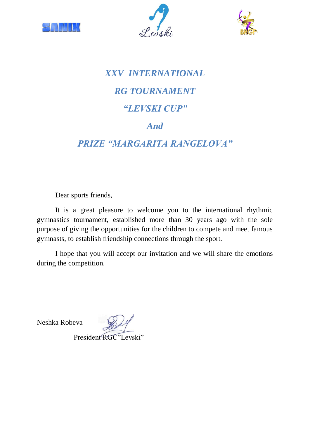





## *XXV INTERNATIONAL RG TOURNAMENT "LEVSKI CUP" And*

## *PRIZE "MARGARITA RANGELOVA"*

Dear sports friends,

It is a great pleasure to welcome you to the international rhythmic gymnastics tournament, established more than 30 years ago with the sole purpose of giving the opportunities for the children to compete and meet famous gymnasts, to establish friendship connections through the sport.

I hope that you will accept our invitation and we will share the emotions during the competition.

Neshka Robeva

President RGC"I evski"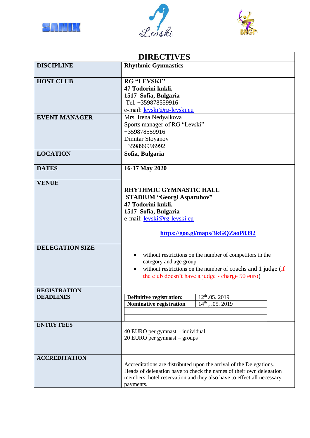





| <b>DIRECTIVES</b>                       |                                                                                                                                                                                                                                  |  |  |  |  |  |  |
|-----------------------------------------|----------------------------------------------------------------------------------------------------------------------------------------------------------------------------------------------------------------------------------|--|--|--|--|--|--|
| <b>DISCIPLINE</b>                       | <b>Rhythmic Gymnastics</b>                                                                                                                                                                                                       |  |  |  |  |  |  |
| <b>HOST CLUB</b>                        | <b>RG "LEVSKI"</b><br>47 Todorini kukli,<br>1517 Sofia, Bulgaria<br>Tel. +359878559916<br>e-mail: levski@rg-levski.eu                                                                                                            |  |  |  |  |  |  |
| <b>EVENT MANAGER</b>                    | Mrs. Irena Nedyalkova<br>Sports manager of RG "Levski"<br>+359878559916<br>Dimitar Stoyanov<br>+359899996992                                                                                                                     |  |  |  |  |  |  |
| <b>LOCATION</b>                         | Sofia, Bulgaria                                                                                                                                                                                                                  |  |  |  |  |  |  |
| <b>DATES</b>                            | 16-17 May 2020                                                                                                                                                                                                                   |  |  |  |  |  |  |
| <b>VENUE</b>                            | <b>RHYTHMIC GYMNASTIC HALL</b><br><b>STADIUM "Georgi Asparuhov"</b><br>47 Todorini kukli,<br>1517 Sofia, Bulgaria<br>e-mail: levski@rg-levski.eu<br>https://goo.gl/maps/3kGQZaoP8392                                             |  |  |  |  |  |  |
| <b>DELEGATION SIZE</b>                  | without restrictions on the number of competitors in the<br>category and age group<br>without restrictions on the number of coachs and 1 judge (if<br>$\bullet$<br>the club doesn't have a judge - charge 50 euro)               |  |  |  |  |  |  |
| <b>REGISTRATION</b><br><b>DEADLINES</b> | $12^{th}$ .05. 2019<br>Definitive registration:<br>$14^{\text{th}}$ , .05. 2019<br>Nominative registration                                                                                                                       |  |  |  |  |  |  |
| <b>ENTRY FEES</b>                       | 40 EURO per gymnast – individual<br>20 EURO per gymnast – groups                                                                                                                                                                 |  |  |  |  |  |  |
| <b>ACCREDITATION</b>                    | Accreditations are distributed upon the arrival of the Delegations.<br>Heads of delegation have to check the names of their own delegation<br>members, hotel reservation and they also have to effect all necessary<br>payments. |  |  |  |  |  |  |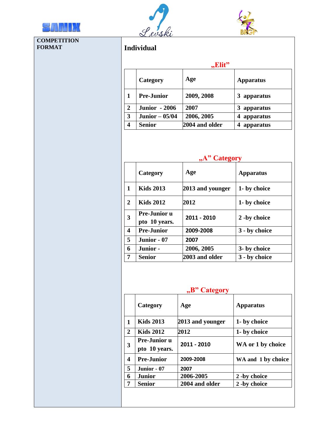

**COMPETITION**

**FORMAT** 





|                         |                               | "Elit"              |                                 |  |  |
|-------------------------|-------------------------------|---------------------|---------------------------------|--|--|
|                         | Category                      | Age                 | <b>Apparatus</b><br>3 apparatus |  |  |
| 1                       | <b>Pre-Junior</b>             | 2009, 2008          |                                 |  |  |
| $\boldsymbol{2}$        | <b>Junior - 2006</b>          | 2007                | 3 apparatus                     |  |  |
| 3                       | $\overline{J}$ unior – 05/04  | 2006, 2005          | 4 apparatus                     |  |  |
| $\overline{\mathbf{4}}$ | <b>Senior</b>                 | 2004 and older      | 4 apparatus                     |  |  |
|                         |                               | "A" Category        |                                 |  |  |
|                         | Category                      | Age                 | <b>Apparatus</b>                |  |  |
| 1                       | <b>Kids 2013</b>              | 2013 and younger    | 1- by choice                    |  |  |
| $\overline{2}$          | <b>Kids 2012</b>              | 2012                | 1- by choice                    |  |  |
| 3                       | Pre-Junior u<br>pto 10 years. | 2011 - 2010         | 2 -by choice                    |  |  |
| 4                       | <b>Pre-Junior</b>             | 2009-2008           | 3 - by choice                   |  |  |
| 5                       | Junior - 07                   | 2007                |                                 |  |  |
| 6                       | Junior -                      | 2006, 2005          | 3- by choice                    |  |  |
| 7                       | <b>Senior</b>                 | 2003 and older      | 3 - by choice                   |  |  |
|                         | Category                      | "B" Category<br>Age | <b>Apparatus</b>                |  |  |
| 1                       | <b>Kids 2013</b>              | 2013 and younger    | 1- by choice                    |  |  |
| $\mathbf{2}$            | <b>Kids 2012</b>              | 2012                | 1- by choice                    |  |  |
|                         | Pre-Junior u<br>pto 10 years. | 2011 - 2010         | WA or 1 by choice               |  |  |
| 3                       |                               | 2009-2008           | WA and 1 by choice              |  |  |
|                         | <b>Pre-Junior</b>             |                     |                                 |  |  |
| 4<br>5<br>6             | Junior - 07<br><b>Junior</b>  | 2007<br>2006-2005   | 2 -by choice                    |  |  |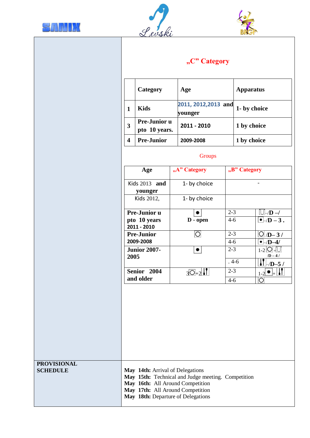





| "C" Category |  |
|--------------|--|
|              |  |

|                                       |                                                                      | Category                                                                                                                                       | Age               |                                                    |                    | <b>Apparatus</b>              |  |  |  |
|---------------------------------------|----------------------------------------------------------------------|------------------------------------------------------------------------------------------------------------------------------------------------|-------------------|----------------------------------------------------|--------------------|-------------------------------|--|--|--|
|                                       | $\mathbf{1}$                                                         | <b>Kids</b>                                                                                                                                    | younger           | 2011, 2012, 2013 and                               |                    | 1- by choice<br>1 by choice   |  |  |  |
|                                       | $\overline{\mathbf{3}}$                                              | Pre-Junior u<br>pto 10 years.                                                                                                                  |                   | 2011 - 2010                                        |                    |                               |  |  |  |
|                                       | $\overline{\mathbf{4}}$                                              | <b>Pre-Junior</b>                                                                                                                              |                   | 2009-2008                                          |                    | 1 by choice                   |  |  |  |
|                                       |                                                                      |                                                                                                                                                |                   | Groups                                             |                    |                               |  |  |  |
|                                       |                                                                      | Age                                                                                                                                            | "A" Category      |                                                    | "B" Category       |                               |  |  |  |
|                                       |                                                                      | Kids 2013 and<br>younger                                                                                                                       | 1- by choice      |                                                    |                    | $\overline{\phantom{0}}$      |  |  |  |
|                                       |                                                                      | Kids 2012,                                                                                                                                     |                   | 1- by choice                                       |                    |                               |  |  |  |
|                                       |                                                                      | Pre-Junior u                                                                                                                                   |                   |                                                    | $2 - 3$            | $\Box \neg D \rightarrow$     |  |  |  |
|                                       |                                                                      | pto 10 years<br>2011 - 2010                                                                                                                    |                   | D - open                                           | $4-6$              | $\overline{\bullet}$ -/D - 3. |  |  |  |
|                                       |                                                                      | <b>Pre-Junior</b>                                                                                                                              | $\overline{O}$    |                                                    | $2 - 3$            | $O/D-3/$                      |  |  |  |
|                                       | 2009-2008<br><b>Junior 2007-</b><br>2005<br>Senior 2004<br>and older |                                                                                                                                                | $\bullet$         |                                                    | $4 - 6$<br>$2 - 3$ | $-$ D-4<br>$1-2$ O $+$ U      |  |  |  |
|                                       |                                                                      |                                                                                                                                                |                   |                                                    | $.4-6$             | $/D-4/$<br>$\mathbf{I}$       |  |  |  |
|                                       |                                                                      |                                                                                                                                                | $3\overline{O}+2$ |                                                    | $2 - 3$            | /D-5 /<br>⊥⊦<br>$1-2$         |  |  |  |
|                                       |                                                                      |                                                                                                                                                |                   |                                                    | $4 - 6$            | $\overline{O}$                |  |  |  |
|                                       |                                                                      |                                                                                                                                                |                   |                                                    |                    |                               |  |  |  |
| <b>PROVISIONAL</b><br><b>SCHEDULE</b> |                                                                      | May 14th: Arrival of Delegations<br>May 16th: All Around Competition<br>May 17th: All Around Competition<br>May 18th: Departure of Delegations |                   | May 15th: Technical and Judge meeting. Competition |                    |                               |  |  |  |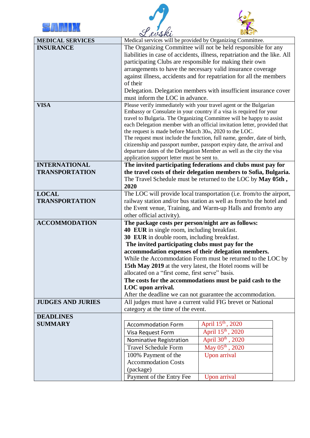





| <b>MEDICAL SERVICES</b>                       | $\alpha$ room<br>Medical services will be provided by Organizing Committee.                                        |                                                                                                                                                  |  |  |  |  |  |  |
|-----------------------------------------------|--------------------------------------------------------------------------------------------------------------------|--------------------------------------------------------------------------------------------------------------------------------------------------|--|--|--|--|--|--|
| <b>INSURANCE</b>                              | The Organizing Committee will not be held responsible for any                                                      |                                                                                                                                                  |  |  |  |  |  |  |
|                                               | liabilities in case of accidents, illness, repatriation and the like. All                                          |                                                                                                                                                  |  |  |  |  |  |  |
|                                               | participating Clubs are responsible for making their own                                                           |                                                                                                                                                  |  |  |  |  |  |  |
|                                               | arrangements to have the necessary valid insurance coverage                                                        |                                                                                                                                                  |  |  |  |  |  |  |
|                                               | against illness, accidents and for repatriation for all the members                                                |                                                                                                                                                  |  |  |  |  |  |  |
|                                               | of their                                                                                                           |                                                                                                                                                  |  |  |  |  |  |  |
|                                               | Delegation. Delegation members with insufficient insurance cover                                                   |                                                                                                                                                  |  |  |  |  |  |  |
|                                               | must inform the LOC in advance.                                                                                    |                                                                                                                                                  |  |  |  |  |  |  |
| <b>VISA</b>                                   |                                                                                                                    | Please verify immediately with your travel agent or the Bulgarian                                                                                |  |  |  |  |  |  |
|                                               |                                                                                                                    | Embassy or Consulate in your country if a visa is required for your                                                                              |  |  |  |  |  |  |
|                                               |                                                                                                                    | travel to Bulgaria. The Organizing Committee will be happy to assist<br>each Delegation member with an official invitation letter, provided that |  |  |  |  |  |  |
|                                               | the request is made before March 30th, 2020 to the LOC.                                                            |                                                                                                                                                  |  |  |  |  |  |  |
|                                               |                                                                                                                    | The request must include the function, full name, gender, date of birth,                                                                         |  |  |  |  |  |  |
|                                               |                                                                                                                    | citizenship and passport number, passport expiry date, the arrival and                                                                           |  |  |  |  |  |  |
|                                               |                                                                                                                    | departure dates of the Delegation Member as well as the city the visa                                                                            |  |  |  |  |  |  |
|                                               | application support letter must be sent to.                                                                        |                                                                                                                                                  |  |  |  |  |  |  |
| <b>INTERNATIONAL</b><br><b>TRANSPORTATION</b> |                                                                                                                    | The invited participating federations and clubs must pay for                                                                                     |  |  |  |  |  |  |
|                                               |                                                                                                                    | the travel costs of their delegation members to Sofia, Bulgaria.<br>The Travel Schedule must be returned to the LOC by May 05th,                 |  |  |  |  |  |  |
|                                               | 2020                                                                                                               |                                                                                                                                                  |  |  |  |  |  |  |
| <b>LOCAL</b>                                  |                                                                                                                    | The LOC will provide local transportation (i.e. from/to the airport,                                                                             |  |  |  |  |  |  |
| <b>TRANSPORTATION</b>                         |                                                                                                                    | railway station and/or bus station as well as from/to the hotel and                                                                              |  |  |  |  |  |  |
|                                               | the Event venue, Training, and Warm-up Halls and from/to any                                                       |                                                                                                                                                  |  |  |  |  |  |  |
|                                               | other official activity).                                                                                          |                                                                                                                                                  |  |  |  |  |  |  |
| <b>ACCOMMODATION</b>                          | The package costs per person/night are as follows:                                                                 |                                                                                                                                                  |  |  |  |  |  |  |
|                                               | 40 EUR in single room, including breakfast.                                                                        |                                                                                                                                                  |  |  |  |  |  |  |
|                                               | 30 EUR in double room, including breakfast.                                                                        |                                                                                                                                                  |  |  |  |  |  |  |
|                                               | The invited participating clubs must pay for the                                                                   |                                                                                                                                                  |  |  |  |  |  |  |
|                                               | accommodation expenses of their delegation members.<br>While the Accommodation Form must be returned to the LOC by |                                                                                                                                                  |  |  |  |  |  |  |
|                                               | 15th May 2019 at the very latest, the Hotel rooms will be                                                          |                                                                                                                                                  |  |  |  |  |  |  |
|                                               | allocated on a "first come, first serve" basis.                                                                    |                                                                                                                                                  |  |  |  |  |  |  |
|                                               | The costs for the accommodations must be paid cash to the                                                          |                                                                                                                                                  |  |  |  |  |  |  |
|                                               | LOC upon arrival.                                                                                                  |                                                                                                                                                  |  |  |  |  |  |  |
|                                               | After the deadline we can not guarantee the accommodation.                                                         |                                                                                                                                                  |  |  |  |  |  |  |
| <b>JUDGES AND JURIES</b>                      |                                                                                                                    | All judges must have a current valid FIG brevet or National                                                                                      |  |  |  |  |  |  |
|                                               | category at the time of the event.                                                                                 |                                                                                                                                                  |  |  |  |  |  |  |
| <b>DEADLINES</b>                              |                                                                                                                    |                                                                                                                                                  |  |  |  |  |  |  |
| <b>SUMMARY</b>                                | <b>Accommodation Form</b>                                                                                          | April 15 <sup>th</sup> , 2020                                                                                                                    |  |  |  |  |  |  |
|                                               | Visa Request Form                                                                                                  | April 15 <sup>th</sup> , 2020                                                                                                                    |  |  |  |  |  |  |
|                                               | Nominative Registration                                                                                            | April 30th , 2020                                                                                                                                |  |  |  |  |  |  |
|                                               | <b>Travel Schedule Form</b>                                                                                        | May $05^{th}$ , 2020                                                                                                                             |  |  |  |  |  |  |
|                                               | 100% Payment of the                                                                                                | Upon arrival                                                                                                                                     |  |  |  |  |  |  |
|                                               | <b>Accommodation Costs</b>                                                                                         |                                                                                                                                                  |  |  |  |  |  |  |
|                                               | (package)                                                                                                          |                                                                                                                                                  |  |  |  |  |  |  |
|                                               | Payment of the Entry Fee                                                                                           | Upon arrival                                                                                                                                     |  |  |  |  |  |  |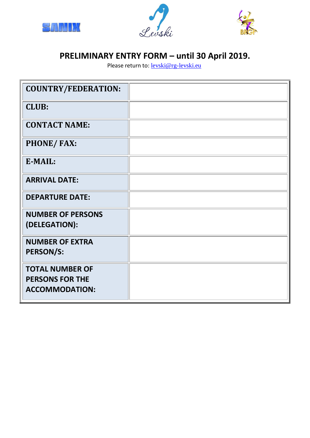





## **PRELIMINARY ENTRY FORM – until 30 April 2019.**

Please return to: **[levski@rg-levski.eu](about:blank)** 

| <b>COUNTRY/FEDERATION:</b>                                                |  |
|---------------------------------------------------------------------------|--|
| <b>CLUB:</b>                                                              |  |
| <b>CONTACT NAME:</b>                                                      |  |
| <b>PHONE/FAX:</b>                                                         |  |
| E-MAIL:                                                                   |  |
| <b>ARRIVAL DATE:</b>                                                      |  |
| <b>DEPARTURE DATE:</b>                                                    |  |
| <b>NUMBER OF PERSONS</b><br>(DELEGATION):                                 |  |
| <b>NUMBER OF EXTRA</b><br><b>PERSON/S:</b>                                |  |
| <b>TOTAL NUMBER OF</b><br><b>PERSONS FOR THE</b><br><b>ACCOMMODATION:</b> |  |